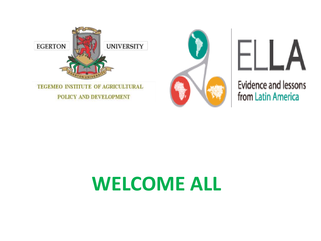





**Evidence and lessons** from Latin America

## **WELCOME ALL**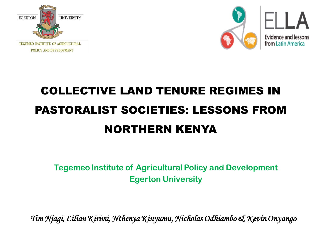



### COLLECTIVE LAND TENURE REGIMES IN PASTORALIST SOCIETIES: LESSONS FROM NORTHERN KENYA

**Tegemeo Institute of Agricultural Policy and Development Egerton University**

*Tim Njagi, Lilian Kirimi, Nthenya Kinyumu, Nicholas Odhiambo & Kevin Onyango*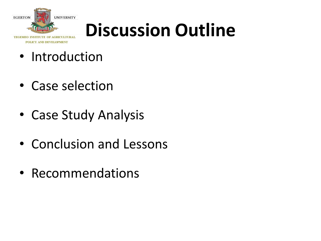

POLICY AND DEVELOPMENT

## **Discussion Outline**

### • Introduction

- Case selection
- Case Study Analysis
- Conclusion and Lessons
- Recommendations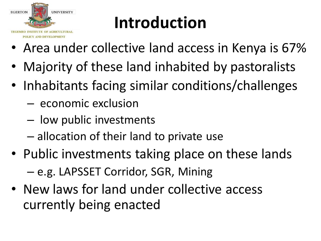

### **Introduction**

- Area under collective land access in Kenya is 67%
- Majority of these land inhabited by pastoralists
- Inhabitants facing similar conditions/challenges
	- economic exclusion
	- low public investments
	- allocation of their land to private use
- Public investments taking place on these lands – e.g. LAPSSET Corridor, SGR, Mining
- New laws for land under collective access currently being enacted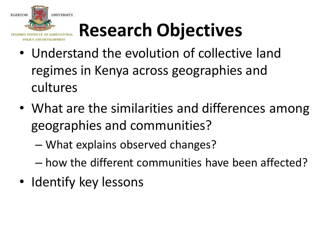

# **Research Objectives**

- Understand the evolution of collective land regimes in Kenya across geographies and cultures
- What are the similarities and differences among geographies and communities?
	- What explains observed changes?
	- how the different communities have been affected?
- Identify key lessons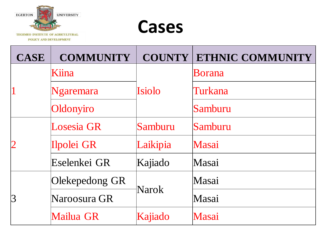



| <b>CASE</b> | <b>COMMUNITY</b>  | <b>COUNTY</b> | <b>ETHNIC COMMUNITY</b> |
|-------------|-------------------|---------------|-------------------------|
|             | Kiina             | Isiolo        | <b>Borana</b>           |
|             | Ngaremara         |               | Turkana                 |
|             | Oldonyiro         |               | Samburu                 |
|             | <b>Losesia GR</b> | Samburu       | Samburu                 |
|             | Ilpolei GR        | Laikipia      | Masai                   |
|             | Eselenkei GR      | Kajiado       | Masai                   |
| $ 3\>$      | Olekepedong GR    | Narok         | Masai                   |
|             | Naroosura GR      |               | Masai                   |
|             | Mailua GR         | Kajiado       | Masai                   |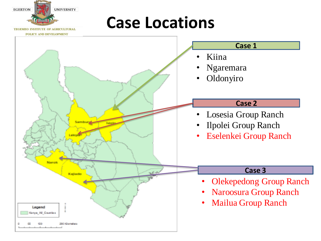### **Case Locations**

**UNIVERSITY** 

**TEGEMEO INSTITUTE OF AGRICULTURAL** 

**EGERTON** 

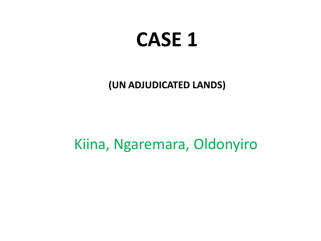### **CASE 1**

**(UN ADJUDICATED LANDS)**

Kiina, Ngaremara, Oldonyiro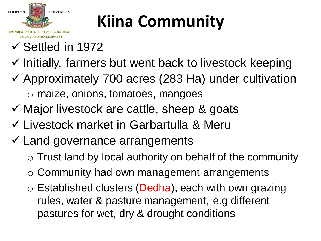

## **Kiina Community**

- $\checkmark$  Settled in 1972
- $\checkmark$  Initially, farmers but went back to livestock keeping
- $\checkmark$  Approximately 700 acres (283 Ha) under cultivation o maize, onions, tomatoes, mangoes
- $\checkmark$  Major livestock are cattle, sheep & goats
- Livestock market in Garbartulla & Meru
- $\checkmark$  Land governance arrangements
	- o Trust land by local authority on behalf of the community
	- o Community had own management arrangements
	- $\circ$  Established clusters (Dedha), each with own grazing rules, water & pasture management, e.g different pastures for wet, dry & drought conditions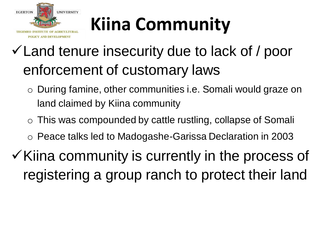

# **Kiina Community**

### Land tenure insecurity due to lack of / poor enforcement of customary laws

- o During famine, other communities i.e. Somali would graze on land claimed by Kiina community
- o This was compounded by cattle rustling, collapse of Somali
- o Peace talks led to Madogashe-Garissa Declaration in 2003
- $\checkmark$  Kiina community is currently in the process of registering a group ranch to protect their land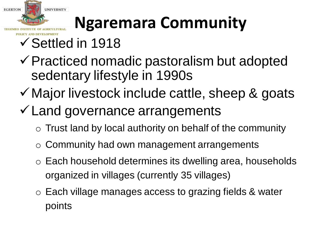

## **Ngaremara Community**

- Settled in 1918
- $\checkmark$  Practiced nomadic pastoralism but adopted sedentary lifestyle in 1990s
- $\checkmark$  Major livestock include cattle, sheep & goats
- Land governance arrangements
	- $\circ$  Trust land by local authority on behalf of the community
	- o Community had own management arrangements
	- o Each household determines its dwelling area, households organized in villages (currently 35 villages)
	- o Each village manages access to grazing fields & water points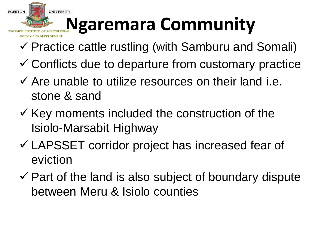

# **Ngaremara Community**

- $\checkmark$  Practice cattle rustling (with Samburu and Somali)
- $\checkmark$  Conflicts due to departure from customary practice
- $\checkmark$  Are unable to utilize resources on their land i.e. stone & sand
- $\checkmark$  Key moments included the construction of the Isiolo-Marsabit Highway
- LAPSSET corridor project has increased fear of eviction
- $\checkmark$  Part of the land is also subject of boundary dispute between Meru & Isiolo counties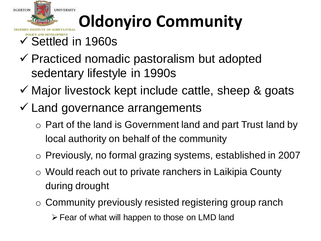

## **Oldonyiro Community**

- $\checkmark$  Settled in 1960s
- $\checkmark$  Practiced nomadic pastoralism but adopted sedentary lifestyle in 1990s
- $\checkmark$  Major livestock kept include cattle, sheep & goats
- $\checkmark$  Land governance arrangements
	- o Part of the land is Government land and part Trust land by local authority on behalf of the community
	- o Previously, no formal grazing systems, established in 2007
	- o Would reach out to private ranchers in Laikipia County during drought
	- o Community previously resisted registering group ranch Fear of what will happen to those on LMD land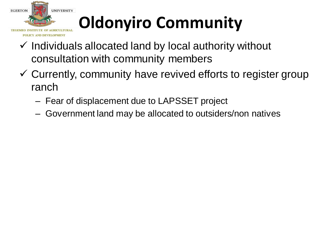

## **Oldonyiro Community**

- $\checkmark$  Individuals allocated land by local authority without consultation with community members
- $\checkmark$  Currently, community have revived efforts to register group ranch
	- Fear of displacement due to LAPSSET project
	- Government land may be allocated to outsiders/non natives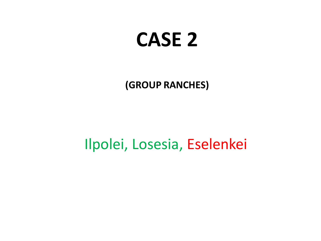## **CASE 2**

**(GROUP RANCHES)**

Ilpolei, Losesia, Eselenkei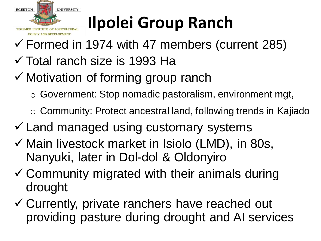

## **Ilpolei Group Ranch**

- $\checkmark$  Formed in 1974 with 47 members (current 285) Total ranch size is 1993 Ha
- $\checkmark$  Motivation of forming group ranch
	- o Government: Stop nomadic pastoralism, environment mgt,
	- o Community: Protect ancestral land, following trends in Kajiado
- $\checkmark$  Land managed using customary systems
- $\checkmark$  Main livestock market in Isiolo (LMD), in 80s, Nanyuki, later in Dol-dol & Oldonyiro
- $\checkmark$  Community migrated with their animals during drought
- Currently, private ranchers have reached out providing pasture during drought and AI services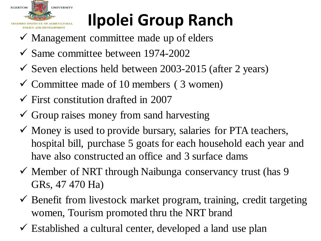

## **Ilpolei Group Ranch**

- $\checkmark$  Management committee made up of elders
- $\checkmark$  Same committee between 1974-2002
- $\checkmark$  Seven elections held between 2003-2015 (after 2 years)
- $\checkmark$  Committee made of 10 members (3 women)
- $\checkmark$  First constitution drafted in 2007
- $\checkmark$  Group raises money from sand harvesting
- $\checkmark$  Money is used to provide bursary, salaries for PTA teachers, hospital bill, purchase 5 goats for each household each year and have also constructed an office and 3 surface dams
- $\checkmark$  Member of NRT through Naibunga conservancy trust (has 9 GRs, 47 470 Ha)
- $\checkmark$  Benefit from livestock market program, training, credit targeting women, Tourism promoted thru the NRT brand
- $\checkmark$  Established a cultural center, developed a land use plan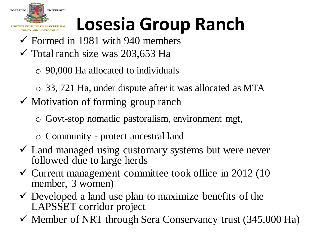

# **Losesia Group Ranch**

- $\checkmark$  Formed in 1981 with 940 members  $\checkmark$  Total ranch size was 203,653 Ha
	- o 90,000 Ha allocated to individuals
	- o 33, 721 Ha, under dispute after it was allocated as MTA
- $\checkmark$  Motivation of forming group ranch
	- o Govt-stop nomadic pastoralism, environment mgt,
	- o Community protect ancestral land
- Land managed using customary systems but were never followed due to large herds
- $\checkmark$  Current management committee took office in 2012 (10) member, 3 women)
- $\checkmark$  Developed a land use plan to maximize benefits of the LAPSSET corridor project
- $\checkmark$  Member of NRT through Sera Conservancy trust (345,000 Ha)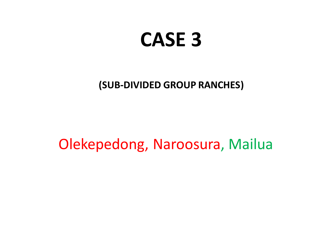### **CASE 3**

#### **(SUB-DIVIDED GROUP RANCHES)**

Olekepedong, Naroosura, Mailua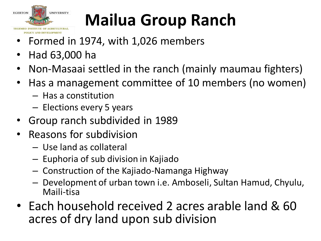

## **Mailua Group Ranch**

- Formed in 1974, with 1,026 members
- Had 63,000 ha
- Non-Masaai settled in the ranch (mainly maumau fighters)
- Has a management committee of 10 members (no women)
	- Has a constitution
	- Elections every 5 years
- Group ranch subdivided in 1989
- Reasons for subdivision
	- Use land as collateral
	- Euphoria of sub division in Kajiado
	- Construction of the Kajiado-Namanga Highway
	- Development of urban town i.e. Amboseli, Sultan Hamud, Chyulu, Maili-tisa
- Each household received 2 acres arable land & 60 acres of dry land upon sub division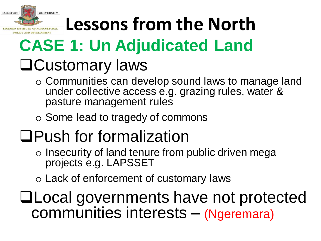

# **Lessons from the North**

# **CASE 1: Un Adjudicated Land**

### Customary laws

- o Communities can develop sound laws to manage land under collective access e.g. grazing rules, water & pasture management rules
- o Some lead to tragedy of commons

### Push for formalization

- o Insecurity of land tenure from public driven mega projects e.g. LAPSSET
- o Lack of enforcement of customary laws

Local governments have not protected communities interests – (Ngeremara)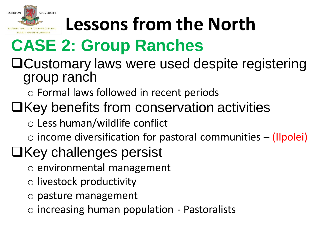

# **Lessons from the North**

### **CASE 2: Group Ranches**

### Customary laws were used despite registering group ranch

o Formal laws followed in recent periods

### $\Box$ Key benefits from conservation activities

o Less human/wildlife conflict

 $\circ$  income diversification for pastoral communities – (Ilpolei)

### $\Box$ Key challenges persist

- o environmental management
- o livestock productivity
- o pasture management
- o increasing human population Pastoralists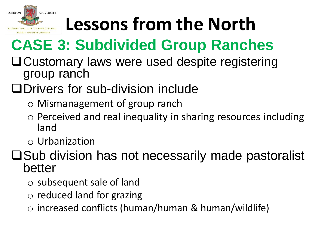

# **Lessons from the North**

### **CASE 3: Subdivided Group Ranches**

Customary laws were used despite registering group ranch

### Drivers for sub-division include

- o Mismanagement of group ranch
- o Perceived and real inequality in sharing resources including land
- o Urbanization

#### **□Sub division has not necessarily made pastoralist** better

- o subsequent sale of land
- o reduced land for grazing
- o increased conflicts (human/human & human/wildlife)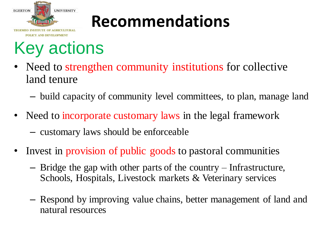

### **Recommendations**

### Key actions

- Need to strengthen community institutions for collective land tenure
	- build capacity of community level committees, to plan, manage land
- Need to incorporate customary laws in the legal framework – customary laws should be enforceable
- Invest in provision of public goods to pastoral communities
	- Bridge the gap with other parts of the country Infrastructure, Schools, Hospitals, Livestock markets & Veterinary services
	- Respond by improving value chains, better management of land and natural resources